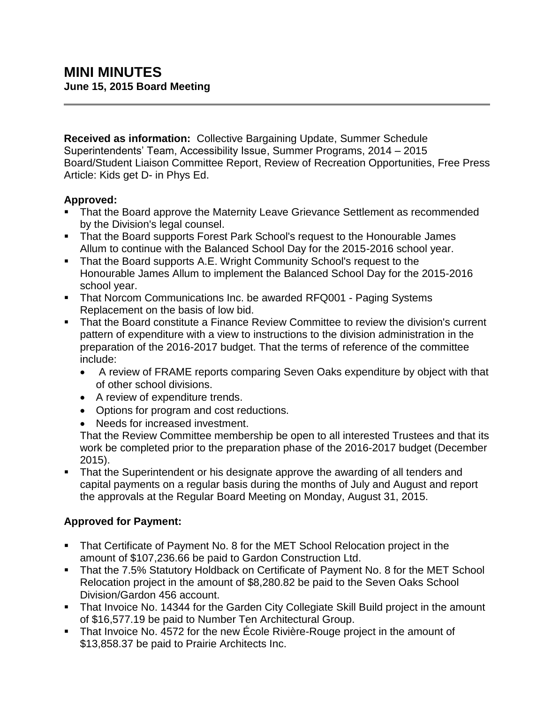**Received as information:** Collective Bargaining Update, Summer Schedule Superintendents' Team, Accessibility Issue, Summer Programs, 2014 – 2015 Board/Student Liaison Committee Report, Review of Recreation Opportunities, Free Press Article: Kids get D- in Phys Ed.

## **Approved:**

- That the Board approve the Maternity Leave Grievance Settlement as recommended by the Division's legal counsel.
- That the Board supports Forest Park School's request to the Honourable James Allum to continue with the Balanced School Day for the 2015-2016 school year.
- That the Board supports A.E. Wright Community School's request to the Honourable James Allum to implement the Balanced School Day for the 2015-2016 school year.
- **That Norcom Communications Inc. be awarded RFQ001 Paging Systems** Replacement on the basis of low bid.
- **That the Board constitute a Finance Review Committee to review the division's current** pattern of expenditure with a view to instructions to the division administration in the preparation of the 2016-2017 budget. That the terms of reference of the committee include:
	- A review of FRAME reports comparing Seven Oaks expenditure by object with that of other school divisions.
	- A review of expenditure trends.
	- Options for program and cost reductions.
	- Needs for increased investment.

That the Review Committee membership be open to all interested Trustees and that its work be completed prior to the preparation phase of the 2016-2017 budget (December 2015).

 That the Superintendent or his designate approve the awarding of all tenders and capital payments on a regular basis during the months of July and August and report the approvals at the Regular Board Meeting on Monday, August 31, 2015.

# **Approved for Payment:**

- That Certificate of Payment No. 8 for the MET School Relocation project in the amount of \$107,236.66 be paid to Gardon Construction Ltd.
- **That the 7.5% Statutory Holdback on Certificate of Payment No. 8 for the MET School** Relocation project in the amount of \$8,280.82 be paid to the Seven Oaks School Division/Gardon 456 account.
- That Invoice No. 14344 for the Garden City Collegiate Skill Build project in the amount of \$16,577.19 be paid to Number Ten Architectural Group.
- That Invoice No. 4572 for the new École Rivière-Rouge project in the amount of \$13,858.37 be paid to Prairie Architects Inc.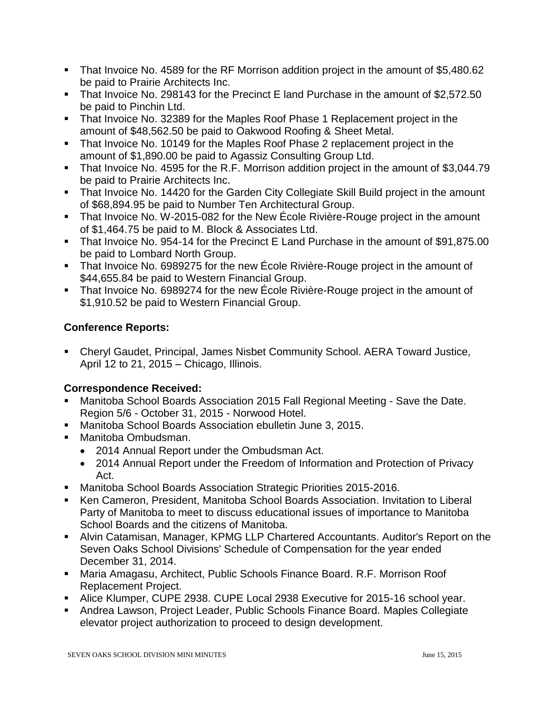- That Invoice No. 4589 for the RF Morrison addition project in the amount of \$5,480.62 be paid to Prairie Architects Inc.
- That Invoice No. 298143 for the Precinct E land Purchase in the amount of \$2,572.50 be paid to Pinchin Ltd.
- That Invoice No. 32389 for the Maples Roof Phase 1 Replacement project in the amount of \$48,562.50 be paid to Oakwood Roofing & Sheet Metal.
- That Invoice No. 10149 for the Maples Roof Phase 2 replacement project in the amount of \$1,890.00 be paid to Agassiz Consulting Group Ltd.
- That Invoice No. 4595 for the R.F. Morrison addition project in the amount of \$3,044.79 be paid to Prairie Architects Inc.
- That Invoice No. 14420 for the Garden City Collegiate Skill Build project in the amount of \$68,894.95 be paid to Number Ten Architectural Group.
- That Invoice No. W-2015-082 for the New École Rivière-Rouge project in the amount of \$1,464.75 be paid to M. Block & Associates Ltd.
- That Invoice No. 954-14 for the Precinct E Land Purchase in the amount of \$91,875.00 be paid to Lombard North Group.
- That Invoice No. 6989275 for the new École Rivière-Rouge project in the amount of \$44,655.84 be paid to Western Financial Group.
- That Invoice No. 6989274 for the new École Rivière-Rouge project in the amount of \$1,910.52 be paid to Western Financial Group.

## **Conference Reports:**

 Cheryl Gaudet, Principal, James Nisbet Community School. AERA Toward Justice, April 12 to 21, 2015 – Chicago, Illinois.

# **Correspondence Received:**

- Manitoba School Boards Association 2015 Fall Regional Meeting Save the Date. Region 5/6 - October 31, 2015 - Norwood Hotel.
- Manitoba School Boards Association ebulletin June 3, 2015.
- Manitoba Ombudsman.
	- 2014 Annual Report under the Ombudsman Act.
	- 2014 Annual Report under the Freedom of Information and Protection of Privacy Act.
- Manitoba School Boards Association Strategic Priorities 2015-2016.
- Ken Cameron, President, Manitoba School Boards Association. Invitation to Liberal Party of Manitoba to meet to discuss educational issues of importance to Manitoba School Boards and the citizens of Manitoba.
- Alvin Catamisan, Manager, KPMG LLP Chartered Accountants. Auditor's Report on the Seven Oaks School Divisions' Schedule of Compensation for the year ended December 31, 2014.
- Maria Amagasu, Architect, Public Schools Finance Board. R.F. Morrison Roof Replacement Project.
- Alice Klumper, CUPE 2938. CUPE Local 2938 Executive for 2015-16 school year.
- Andrea Lawson, Project Leader, Public Schools Finance Board. Maples Collegiate elevator project authorization to proceed to design development.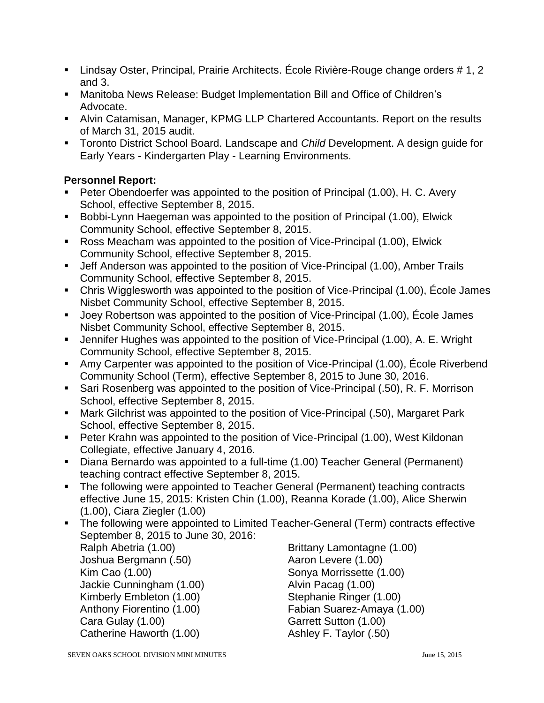- Lindsay Oster, Principal, Prairie Architects. École Rivière-Rouge change orders # 1, 2 and 3.
- Manitoba News Release: Budget Implementation Bill and Office of Children's Advocate.
- Alvin Catamisan, Manager, KPMG LLP Chartered Accountants. Report on the results of March 31, 2015 audit.
- Toronto District School Board. Landscape and *Child* Development. A design guide for Early Years - Kindergarten Play - Learning Environments.

### **Personnel Report:**

- Peter Obendoerfer was appointed to the position of Principal (1.00), H. C. Avery School, effective September 8, 2015.
- **Bobbi-Lynn Haegeman was appointed to the position of Principal (1.00), Elwick** Community School, effective September 8, 2015.
- Ross Meacham was appointed to the position of Vice-Principal (1.00), Elwick Community School, effective September 8, 2015.
- Jeff Anderson was appointed to the position of Vice-Principal (1.00), Amber Trails Community School, effective September 8, 2015.
- Chris Wigglesworth was appointed to the position of Vice-Principal (1.00), École James Nisbet Community School, effective September 8, 2015.
- Joey Robertson was appointed to the position of Vice-Principal (1.00), École James Nisbet Community School, effective September 8, 2015.
- Jennifer Hughes was appointed to the position of Vice-Principal (1.00), A. E. Wright Community School, effective September 8, 2015.
- Amy Carpenter was appointed to the position of Vice-Principal (1.00), École Riverbend Community School (Term), effective September 8, 2015 to June 30, 2016.
- Sari Rosenberg was appointed to the position of Vice-Principal (.50), R. F. Morrison School, effective September 8, 2015.
- Mark Gilchrist was appointed to the position of Vice-Principal (.50), Margaret Park School, effective September 8, 2015.
- Peter Krahn was appointed to the position of Vice-Principal (1.00), West Kildonan Collegiate, effective January 4, 2016.
- Diana Bernardo was appointed to a full-time (1.00) Teacher General (Permanent) teaching contract effective September 8, 2015.
- The following were appointed to Teacher General (Permanent) teaching contracts effective June 15, 2015: Kristen Chin (1.00), Reanna Korade (1.00), Alice Sherwin (1.00), Ciara Ziegler (1.00)
- The following were appointed to Limited Teacher-General (Term) contracts effective September 8, 2015 to June 30, 2016:

Joshua Bergmann (.50) Aaron Levere (1.00) Kim Cao (1.00) Sonya Morrissette (1.00) Jackie Cunningham (1.00) Alvin Pacag (1.00) Kimberly Embleton (1.00) Stephanie Ringer (1.00) Cara Gulay (1.00) Garrett Sutton (1.00) Catherine Haworth (1.00) Catherine Haworth (1.00)

Ralph Abetria (1.00) The Brittany Lamontagne (1.00) Anthony Fiorentino (1.00) Fabian Suarez-Amaya (1.00)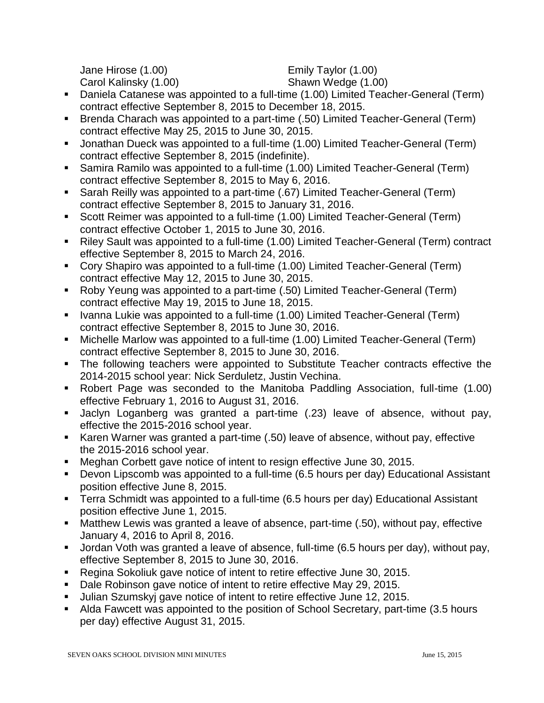Jane Hirose (1.00) Emily Taylor (1.00) Carol Kalinsky (1.00) Shawn Wedge (1.00)

- Daniela Catanese was appointed to a full-time (1.00) Limited Teacher-General (Term) contract effective September 8, 2015 to December 18, 2015.
- Brenda Charach was appointed to a part-time (.50) Limited Teacher-General (Term) contract effective May 25, 2015 to June 30, 2015.
- Jonathan Dueck was appointed to a full-time (1.00) Limited Teacher-General (Term) contract effective September 8, 2015 (indefinite).
- Samira Ramilo was appointed to a full-time (1.00) Limited Teacher-General (Term) contract effective September 8, 2015 to May 6, 2016.
- Sarah Reilly was appointed to a part-time (.67) Limited Teacher-General (Term) contract effective September 8, 2015 to January 31, 2016.
- Scott Reimer was appointed to a full-time (1.00) Limited Teacher-General (Term) contract effective October 1, 2015 to June 30, 2016.
- Riley Sault was appointed to a full-time (1.00) Limited Teacher-General (Term) contract effective September 8, 2015 to March 24, 2016.
- Cory Shapiro was appointed to a full-time (1.00) Limited Teacher-General (Term) contract effective May 12, 2015 to June 30, 2015.
- Roby Yeung was appointed to a part-time (.50) Limited Teacher-General (Term) contract effective May 19, 2015 to June 18, 2015.
- Ivanna Lukie was appointed to a full-time (1.00) Limited Teacher-General (Term) contract effective September 8, 2015 to June 30, 2016.
- Michelle Marlow was appointed to a full-time (1.00) Limited Teacher-General (Term) contract effective September 8, 2015 to June 30, 2016.
- The following teachers were appointed to Substitute Teacher contracts effective the 2014-2015 school year: Nick Serduletz, Justin Vechina.
- Robert Page was seconded to the Manitoba Paddling Association, full-time (1.00) effective February 1, 2016 to August 31, 2016.
- Jaclyn Loganberg was granted a part-time (.23) leave of absence, without pay, effective the 2015-2016 school year.
- Karen Warner was granted a part-time (.50) leave of absence, without pay, effective the 2015-2016 school year.
- Meghan Corbett gave notice of intent to resign effective June 30, 2015.
- Devon Lipscomb was appointed to a full-time (6.5 hours per day) Educational Assistant position effective June 8, 2015.
- **Terra Schmidt was appointed to a full-time (6.5 hours per day) Educational Assistant** position effective June 1, 2015.
- Matthew Lewis was granted a leave of absence, part-time (.50), without pay, effective January 4, 2016 to April 8, 2016.
- Jordan Voth was granted a leave of absence, full-time (6.5 hours per day), without pay, effective September 8, 2015 to June 30, 2016.
- Regina Sokoliuk gave notice of intent to retire effective June 30, 2015.
- Dale Robinson gave notice of intent to retire effective May 29, 2015.
- Julian Szumskyj gave notice of intent to retire effective June 12, 2015.
- Alda Fawcett was appointed to the position of School Secretary, part-time (3.5 hours per day) effective August 31, 2015.